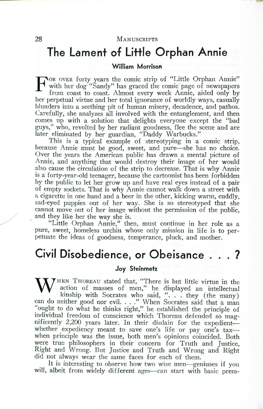## **The Lament of Little Orphan Annie**

## **William Morrison**

FOR OVER forty years the comic strip of "Little Orphan Annie" with her dog "Sandy" has graced the comic page of newspaper from coast to coast. Almost every week Annie, aided only by with her dog "Sandy" has graced the comic page of newspaper from coast to coast. Almost every week Annie, aided only by her perpetual virtue and her total ignorance of worldly ways, casually blunders into a seething pit of human misery, decadence, and pathos. Carefully, she analyzes all involved with the entanglement, and then comes up with a solution that delights everyone except the "bad guys," who, revolted by her radiant goodness, flee the scene and are later eliminated by her guardian, "Daddy Warbucks."

This is a typical example of stereotyping in a comic strip, because Annie must be good, sweet, and pure—she has no choice. Over the years the American public has drawn a mental picture of Annie, and anything that would destroy their image of her would also cause the circulation of the strip to decrease. That is why Annie is a forty-year-old teenager, because the cartoonist has been forbidden by the public to let her grow up and have real eyes instead of a pair of empty sockets. That is why Annie cannot walk down a street with a cigarette in one hand and a beer in the other, kicking warm, cuddly, sad-eyed puppies out of her way. She is so stereotyped that she cannot move out of her image without the permission of the public, and they like her the way she is.

"Little Orphan Annie," then, must continue in her role as a pure, sweet, homeless urchin whose only mission in life is to perpetuate the ideas of goodness, temperance, pluck, and mother.

# **Civil Disobedience. or Obeisance** . 7.

#### *Joy* **Steinmetz**

W<sup>HEN</sup> THOREAU stated that, "There is but little virtue in the action of masses of men," he displayed an intellectual kinship with Socrates who said "they (the many) kinship with Socrates who said, ". . . they (the many can do neither good nor evil. ... " When Socrates said that a man "ought to do what he thinks right," he established the principle of individual freedom of conscience which Thoreau defended so magnificently 2,200 years later. In their disdain for the expedientwhether expediency meant to save one's life or pay one's taxwhen principle was the issue, both men's opinions coincided. Both were true philosophers in their concern for Truth and Justice, Right and Wrong. But Justice and Truth and Wrong and Right did not always wear the same faces for each of them.

It is interesting to observe how two wise men—geniuses if you will, albeit from widely different ages—can start with basic prem